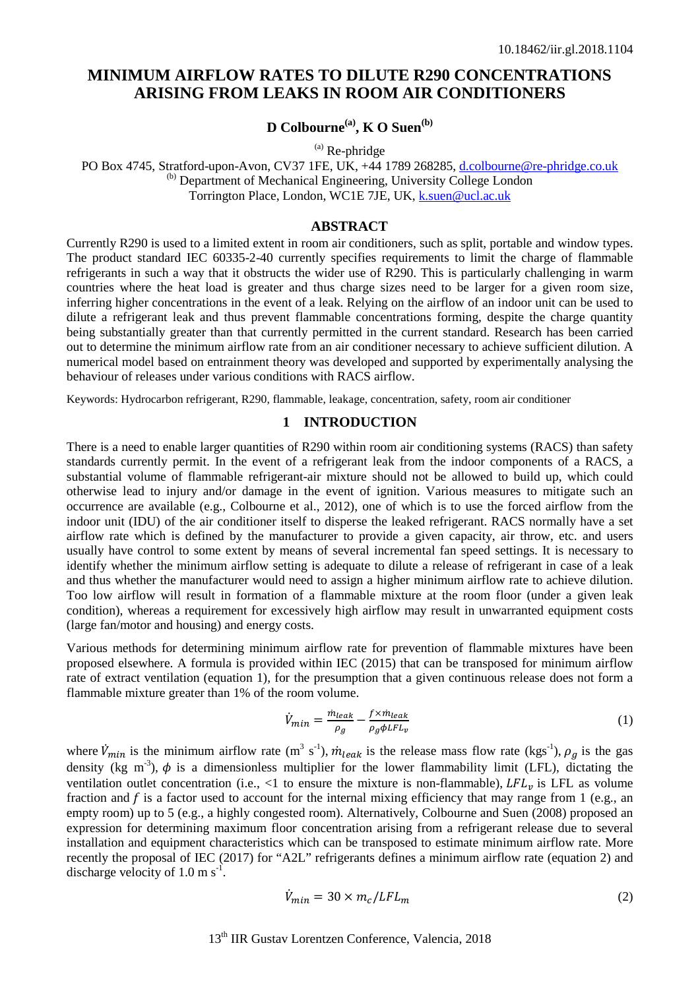# **MINIMUM AIRFLOW RATES TO DILUTE R290 CONCENTRATIONS ARISING FROM LEAKS IN ROOM AIR CONDITIONERS**

# **D Colbourne**<sup>(a)</sup>, **K O Suen**<sup>(b)</sup>

 $(a)$  Re-phridge

PO Box 4745, Stratford-upon-Avon, CV37 1FE, UK, +44 1789 268285, [d.colbourne@re-phridge.co.uk](mailto:d.colbourne@re-phridge.co.uk) (b) Department of Mechanical Engineering, University College London Torrington Place, London, WC1E 7JE, UK, [k.suen@ucl.ac.uk](mailto:k.suen@ucl.ac.uk)

### **ABSTRACT**

Currently R290 is used to a limited extent in room air conditioners, such as split, portable and window types. The product standard IEC 60335-2-40 currently specifies requirements to limit the charge of flammable refrigerants in such a way that it obstructs the wider use of R290. This is particularly challenging in warm countries where the heat load is greater and thus charge sizes need to be larger for a given room size, inferring higher concentrations in the event of a leak. Relying on the airflow of an indoor unit can be used to dilute a refrigerant leak and thus prevent flammable concentrations forming, despite the charge quantity being substantially greater than that currently permitted in the current standard. Research has been carried out to determine the minimum airflow rate from an air conditioner necessary to achieve sufficient dilution. A numerical model based on entrainment theory was developed and supported by experimentally analysing the behaviour of releases under various conditions with RACS airflow.

Keywords: Hydrocarbon refrigerant, R290, flammable, leakage, concentration, safety, room air conditioner

### **1 INTRODUCTION**

There is a need to enable larger quantities of R290 within room air conditioning systems (RACS) than safety standards currently permit. In the event of a refrigerant leak from the indoor components of a RACS, a substantial volume of flammable refrigerant-air mixture should not be allowed to build up, which could otherwise lead to injury and/or damage in the event of ignition. Various measures to mitigate such an occurrence are available (e.g., Colbourne et al., 2012), one of which is to use the forced airflow from the indoor unit (IDU) of the air conditioner itself to disperse the leaked refrigerant. RACS normally have a set airflow rate which is defined by the manufacturer to provide a given capacity, air throw, etc. and users usually have control to some extent by means of several incremental fan speed settings. It is necessary to identify whether the minimum airflow setting is adequate to dilute a release of refrigerant in case of a leak and thus whether the manufacturer would need to assign a higher minimum airflow rate to achieve dilution. Too low airflow will result in formation of a flammable mixture at the room floor (under a given leak condition), whereas a requirement for excessively high airflow may result in unwarranted equipment costs (large fan/motor and housing) and energy costs.

Various methods for determining minimum airflow rate for prevention of flammable mixtures have been proposed elsewhere. A formula is provided within IEC (2015) that can be transposed for minimum airflow rate of extract ventilation (equation [1\)](#page-0-0), for the presumption that a given continuous release does not form a flammable mixture greater than 1% of the room volume.

<span id="page-0-0"></span>
$$
\dot{V}_{min} = \frac{\dot{m}_{leak}}{\rho_g} - \frac{f \times \dot{m}_{leak}}{\rho_g \phi LFL_v} \tag{1}
$$

where  $\dot{V}_{min}$  is the minimum airflow rate (m<sup>3</sup> s<sup>-1</sup>),  $\dot{m}_{leak}$  is the release mass flow rate (kgs<sup>-1</sup>),  $\rho_g$  is the gas density (kg m<sup>-3</sup>),  $\phi$  is a dimensionless multiplier for the lower flammability limit (LFL), dictating the ventilation outlet concentration (i.e., <1 to ensure the mixture is non-flammable),  $LFL<sub>n</sub>$  is LFL as volume fraction and  $f$  is a factor used to account for the internal mixing efficiency that may range from 1 (e.g., an empty room) up to 5 (e.g., a highly congested room). Alternatively, Colbourne and Suen (2008) proposed an expression for determining maximum floor concentration arising from a refrigerant release due to several installation and equipment characteristics which can be transposed to estimate minimum airflow rate. More recently the proposal of IEC (2017) for "A2L" refrigerants defines a minimum airflow rate (equation [2\)](#page-0-1) and discharge velocity of  $1.0 \text{ m s}^{-1}$ .

<span id="page-0-1"></span>
$$
\dot{V}_{min} = 30 \times m_c / LFL_m \tag{2}
$$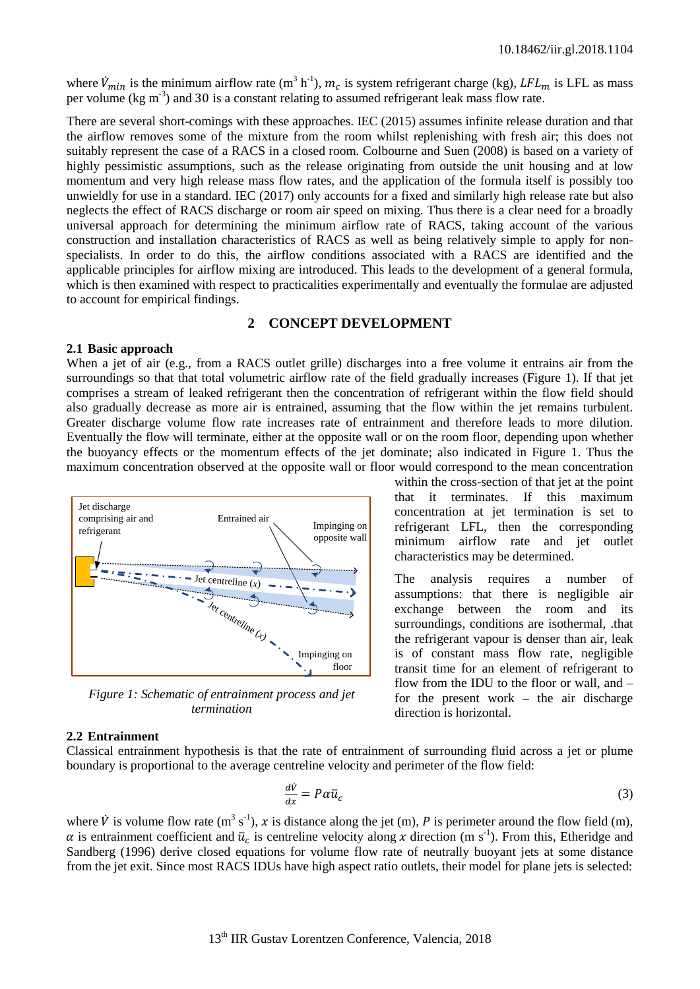where  $V_{min}$  is the minimum airflow rate (m<sup>3</sup> h<sup>-1</sup>),  $m_c$  is system refrigerant charge (kg), LFL<sub>m</sub> is LFL as mass per volume ( $kg \text{ m}^3$ ) and 30 is a constant relating to assumed refrigerant leak mass flow rate.

There are several short-comings with these approaches. IEC (2015) assumes infinite release duration and that the airflow removes some of the mixture from the room whilst replenishing with fresh air; this does not suitably represent the case of a RACS in a closed room. Colbourne and Suen (2008) is based on a variety of highly pessimistic assumptions, such as the release originating from outside the unit housing and at low momentum and very high release mass flow rates, and the application of the formula itself is possibly too unwieldly for use in a standard. IEC (2017) only accounts for a fixed and similarly high release rate but also neglects the effect of RACS discharge or room air speed on mixing. Thus there is a clear need for a broadly universal approach for determining the minimum airflow rate of RACS, taking account of the various construction and installation characteristics of RACS as well as being relatively simple to apply for nonspecialists. In order to do this, the airflow conditions associated with a RACS are identified and the applicable principles for airflow mixing are introduced. This leads to the development of a general formula, which is then examined with respect to practicalities experimentally and eventually the formulae are adjusted to account for empirical findings.

# **2 CONCEPT DEVELOPMENT**

#### **2.1 Basic approach**

When a jet of air (e.g., from a RACS outlet grille) discharges into a free volume it entrains air from the surroundings so that that total volumetric airflow rate of the field gradually increases [\(Figure 1\)](#page-1-0). If that jet comprises a stream of leaked refrigerant then the concentration of refrigerant within the flow field should also gradually decrease as more air is entrained, assuming that the flow within the jet remains turbulent. Greater discharge volume flow rate increases rate of entrainment and therefore leads to more dilution. Eventually the flow will terminate, either at the opposite wall or on the room floor, depending upon whether the buoyancy effects or the momentum effects of the jet dominate; also indicated in [Figure 1.](#page-1-0) Thus the maximum concentration observed at the opposite wall or floor would correspond to the mean concentration



<span id="page-1-0"></span>*Figure 1: Schematic of entrainment process and jet termination*

#### **2.2 Entrainment**

Classical entrainment hypothesis is that the rate of entrainment of surrounding fluid across a jet or plume boundary is proportional to the average centreline velocity and perimeter of the flow field:

$$
\frac{d\dot{V}}{dx} = P\alpha \bar{u}_c \tag{3}
$$

where  $\dot{V}$  is volume flow rate (m<sup>3</sup> s<sup>-1</sup>), x is distance along the jet (m), P is perimeter around the flow field (m), is entrainment coefficient and  $\bar{u}_c$  is centreline velocity along x direction (m s<sup>-1</sup>). From this, Etheridge and Sandberg (1996) derive closed equations for volume flow rate of neutrally buoyant jets at some distance from the jet exit. Since most RACS IDUs have high aspect ratio outlets, their model for plane jets is selected:

within the cross-section of that jet at the point that it terminates. If this maximum concentration at jet termination is set to refrigerant LFL, then the corresponding minimum airflow rate and jet outlet characteristics may be determined.

The analysis requires a number of assumptions: that there is negligible air exchange between the room and its surroundings, conditions are isothermal, .that the refrigerant vapour is denser than air, leak is of constant mass flow rate, negligible transit time for an element of refrigerant to flow from the IDU to the floor or wall, and – for the present work – the air discharge direction is horizontal.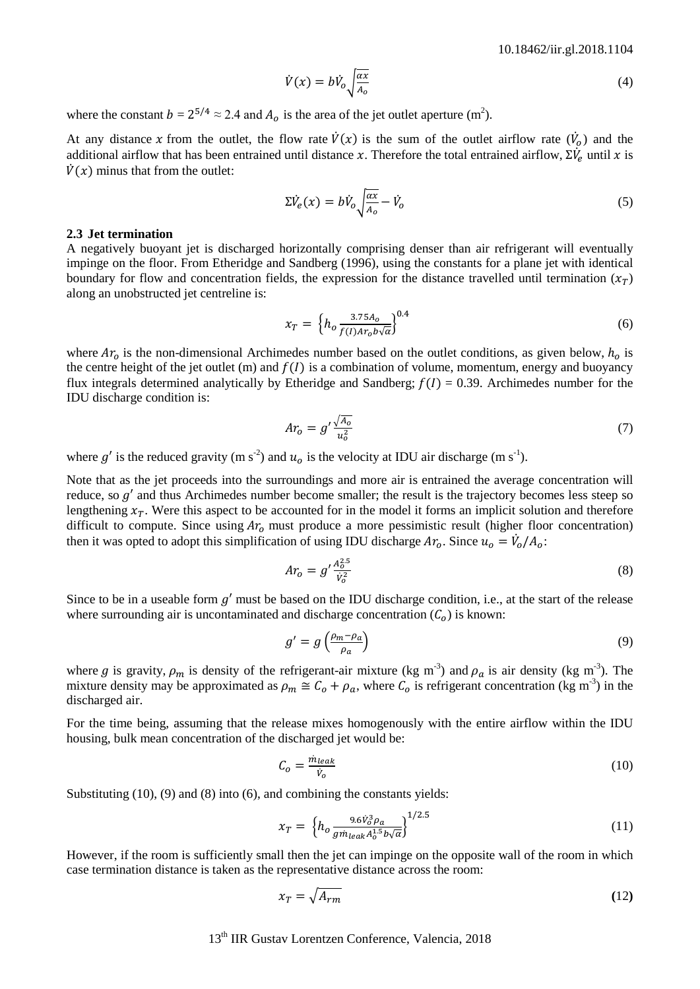<span id="page-2-4"></span>
$$
\dot{V}(x) = b\dot{V}_o \sqrt{\frac{\alpha x}{A_o}}\tag{4}
$$

where the constant  $b = 2^{5/4} \approx 2.4$  and  $A_0$  is the area of the jet outlet aperture (m<sup>2</sup>).

At any distance x from the outlet, the flow rate  $\dot{V}(x)$  is the sum of the outlet airflow rate  $(\dot{V}_0)$  and the additional airflow that has been entrained until distance x. Therefore the total entrained airflow,  $\Sigma \dot{V}_e$  until x is  $\dot{V}(x)$  minus that from the outlet:

$$
\Sigma \dot{V}_e(x) = b \dot{V}_o \sqrt{\frac{ax}{A_o}} - \dot{V}_o \tag{5}
$$

#### **2.3 Jet termination**

A negatively buoyant jet is discharged horizontally comprising denser than air refrigerant will eventually impinge on the floor. From Etheridge and Sandberg (1996), using the constants for a plane jet with identical boundary for flow and concentration fields, the expression for the distance travelled until termination  $(x_T)$ along an unobstructed jet centreline is:

<span id="page-2-3"></span>
$$
x_T = \left\{ h_o \frac{3.75 A_o}{f(I)Ar_o b\sqrt{\alpha}} \right\}^{0.4}
$$
 (6)

where  $Ar<sub>o</sub>$  is the non-dimensional Archimedes number based on the outlet conditions, as given below,  $h<sub>o</sub>$  is the centre height of the jet outlet (m) and  $f(I)$  is a combination of volume, momentum, energy and buoyancy flux integrals determined analytically by Etheridge and Sandberg;  $f(I) = 0.39$ . Archimedes number for the IDU discharge condition is:

$$
Ar_o = g' \frac{\sqrt{A_o}}{u_o^2} \tag{7}
$$

where g' is the reduced gravity (m s<sup>-2</sup>) and  $u_o$  is the velocity at IDU air discharge (m s<sup>-1</sup>).

Note that as the jet proceeds into the surroundings and more air is entrained the average concentration will reduce, so  $g'$  and thus Archimedes number become smaller; the result is the trajectory becomes less steep so lengthening  $x_T$ . Were this aspect to be accounted for in the model it forms an implicit solution and therefore difficult to compute. Since using  $Ar_0$  must produce a more pessimistic result (higher floor concentration) then it was opted to adopt this simplification of using IDU discharge  $Ar_o$ . Since  $u_o = V_o/A_o$ :

<span id="page-2-2"></span>
$$
Ar_o = g' \frac{A_o^{2.5}}{V_o^2}
$$
 (8)

Since to be in a useable form  $g'$  must be based on the IDU discharge condition, i.e., at the start of the release where surrounding air is uncontaminated and discharge concentration  $(C<sub>o</sub>)$  is known:

<span id="page-2-1"></span>
$$
g' = g\left(\frac{\rho_m - \rho_a}{\rho_a}\right) \tag{9}
$$

where g is gravity,  $\rho_m$  is density of the refrigerant-air mixture (kg m<sup>-3</sup>) and  $\rho_a$  is air density (kg m<sup>-3</sup>). The mixture density may be approximated as  $\rho_m \cong C_o + \rho_a$ , where  $C_o$  is refrigerant concentration (kg m<sup>-3</sup>) in the discharged air.

For the time being, assuming that the release mixes homogenously with the entire airflow within the IDU housing, bulk mean concentration of the discharged jet would be:

<span id="page-2-0"></span>
$$
C_o = \frac{m_{leak}}{\dot{v}_o} \tag{10}
$$

Substituting [\(10\)](#page-2-0), [\(9\)](#page-2-1) and [\(8\)](#page-2-2) into [\(6\)](#page-2-3), and combining the constants yields:

<span id="page-2-5"></span>
$$
x_T = \left\{ h_o \frac{9.6 \dot{V}_o^3 \rho_a}{gm_{leak} A_o^{1.5} b \sqrt{\alpha}} \right\}^{1/2.5}
$$
\n
$$
\tag{11}
$$

However, if the room is sufficiently small then the jet can impinge on the opposite wall of the room in which case termination distance is taken as the representative distance across the room:

<span id="page-2-6"></span>
$$
x_T = \sqrt{A_{rm}}
$$
 (12)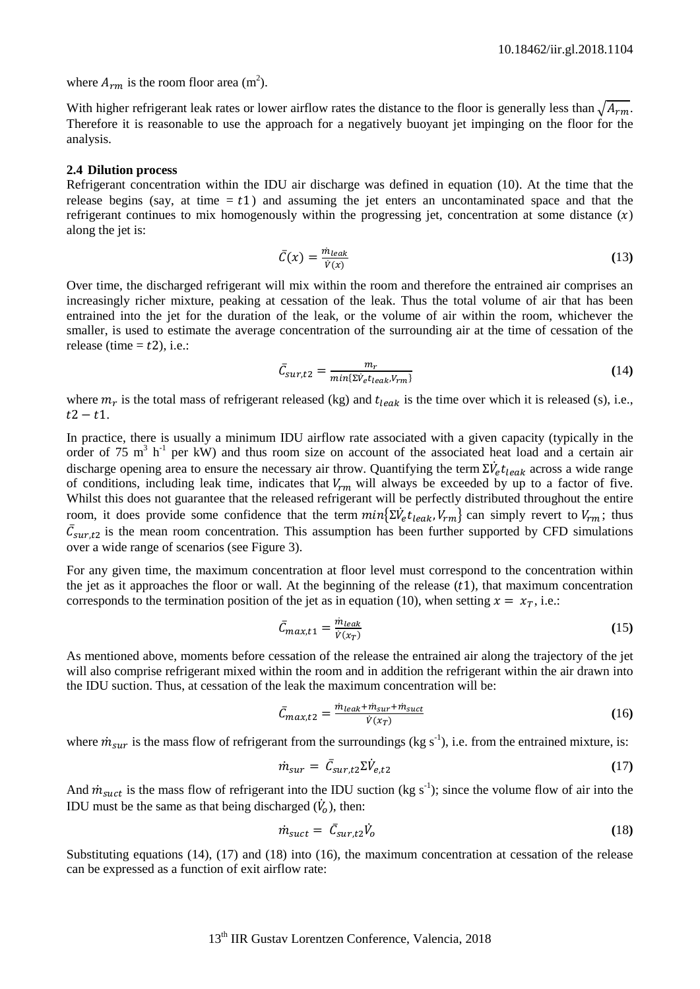where  $A_{rm}$  is the room floor area (m<sup>2</sup>).

With higher refrigerant leak rates or lower airflow rates the distance to the floor is generally less than  $\sqrt{A_{rm}}$ . Therefore it is reasonable to use the approach for a negatively buoyant jet impinging on the floor for the analysis.

#### **2.4 Dilution process**

Refrigerant concentration within the IDU air discharge was defined in equation [\(10\)](#page-2-0). At the time that the release begins (say, at time  $= t1$ ) and assuming the jet enters an uncontaminated space and that the refrigerant continues to mix homogenously within the progressing jet, concentration at some distance  $(x)$ along the jet is:

$$
\bar{C}(x) = \frac{m_{leak}}{\dot{v}(x)}\tag{13}
$$

Over time, the discharged refrigerant will mix within the room and therefore the entrained air comprises an increasingly richer mixture, peaking at cessation of the leak. Thus the total volume of air that has been entrained into the jet for the duration of the leak, or the volume of air within the room, whichever the smaller, is used to estimate the average concentration of the surrounding air at the time of cessation of the release (time  $=$  t2), i.e.:

<span id="page-3-0"></span>
$$
\bar{C}_{sur,t2} = \frac{m_r}{\min\{\Sigma \dot{V}_e t_{leak}, V_{rm}\}}
$$
(14)

where  $m_r$  is the total mass of refrigerant released (kg) and  $t_{leak}$  is the time over which it is released (s), i.e.,  $t2 - t1$ .

In practice, there is usually a minimum IDU airflow rate associated with a given capacity (typically in the order of 75 m<sup>3</sup> h<sup>-1</sup> per kW) and thus room size on account of the associated heat load and a certain air discharge opening area to ensure the necessary air throw. Quantifying the term  $\Sigma \dot{V}_e t_{leak}$  across a wide range of conditions, including leak time, indicates that  $V_{rm}$  will always be exceeded by up to a factor of five. Whilst this does not guarantee that the released refrigerant will be perfectly distributed throughout the entire room, it does provide some confidence that the term  $min{\{\Sigma V_e t_{leak}, V_{rm}\}}$  can simply revert to  $V_{rm}$ ; thus  $C_{\text{sur},t2}$  is the mean room concentration. This assumption has been further supported by CFD simulations over a wide range of scenarios (see [Figure 3\)](#page-4-0).

For any given time, the maximum concentration at floor level must correspond to the concentration within the jet as it approaches the floor or wall. At the beginning of the release  $(t1)$ , that maximum concentration corresponds to the termination position of the jet as in equation [\(10\)](#page-2-0), when setting  $x = x_T$ , i.e.:

$$
\bar{C}_{max,t1} = \frac{\dot{m}_{leak}}{\dot{v}(x_T)}\tag{15}
$$

As mentioned above, moments before cessation of the release the entrained air along the trajectory of the jet will also comprise refrigerant mixed within the room and in addition the refrigerant within the air drawn into the IDU suction. Thus, at cessation of the leak the maximum concentration will be:

<span id="page-3-3"></span>
$$
\bar{C}_{max,t2} = \frac{\dot{m}_{leak} + \dot{m}_{sur} + \dot{m}_{suct}}{\dot{v}(x_T)}
$$
(16)

where  $\dot{m}_{sur}$  is the mass flow of refrigerant from the surroundings (kg s<sup>-1</sup>), i.e. from the entrained mixture, is:

<span id="page-3-1"></span>
$$
\dot{m}_{sur} = \bar{C}_{sur,t2} \Sigma \dot{V}_{e,t2} \tag{17}
$$

And  $\dot{m}_{\text{surf}}$  is the mass flow of refrigerant into the IDU suction (kg s<sup>-1</sup>); since the volume flow of air into the IDU must be the same as that being discharged  $(\dot{V}_o)$ , then:

<span id="page-3-2"></span>
$$
\dot{m}_{\text{surf}} = \bar{C}_{\text{sur},t2} \dot{V}_o \tag{18}
$$

Substituting equations [\(14\)](#page-3-0), [\(17\)](#page-3-1) and [\(18\)](#page-3-2) into [\(16\)](#page-3-3), the maximum concentration at cessation of the release can be expressed as a function of exit airflow rate: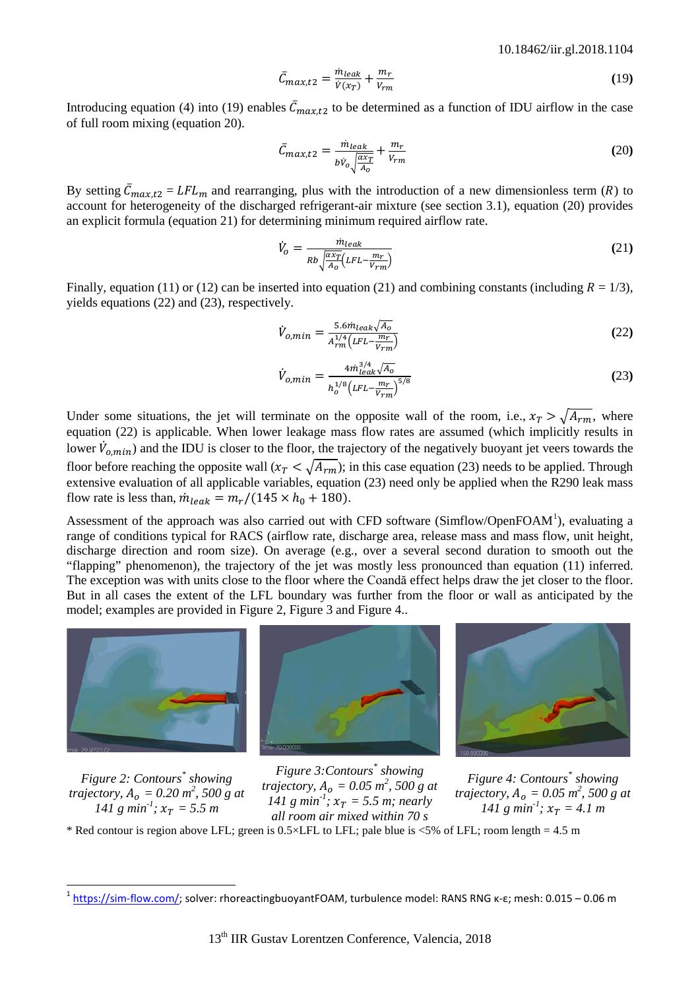<span id="page-4-1"></span>
$$
\bar{C}_{max,t2} = \frac{\dot{m}_{leak}}{\dot{v}(x_T)} + \frac{m_r}{v_{rm}} \tag{19}
$$

Introducing equation [\(4\)](#page-2-4) into [\(19\)](#page-4-1) enables  $C_{max,t2}$  to be determined as a function of IDU airflow in the case of full room mixing (equation [20\)](#page-4-2).

<span id="page-4-2"></span>
$$
\bar{C}_{max,t2} = \frac{m_{leak}}{b\dot{V}_o \sqrt{\frac{ax_r}{A_o}}} + \frac{m_r}{V_{rm}}
$$
\n(20)

By setting  $C_{max,t2} = LFL_m$  and rearranging, plus with the introduction of a new dimensionless term (R) to account for heterogeneity of the discharged refrigerant-air mixture (see section [3.1\)](#page-5-0), equation [\(20\)](#page-4-2) provides an explicit formula (equation [21\)](#page-4-3) for determining minimum required airflow rate.

<span id="page-4-3"></span>
$$
\dot{V}_o = \frac{\dot{m}_{leak}}{Rb\sqrt{\frac{\alpha x_T}{A_o}}(LFL - \frac{m_T}{V_{rm}})}
$$
\n(21)

Finally, equation [\(11\)](#page-2-5) or [\(12\)](#page-2-6) can be inserted into equation [\(21\)](#page-4-3) and combining constants (including  $R = 1/3$ ), yields equations [\(22\)](#page-4-4) and [\(23\)](#page-4-5), respectively.

<span id="page-4-4"></span>
$$
\dot{V}_{o,min} = \frac{5.6 \dot{m}_{leak} \sqrt{A_o}}{A_{rm}^{1/4} (LFL - \frac{m_r}{V_{rm}})}
$$
(22)

$$
\dot{V}_{o,min} = \frac{4m_{leak}^{3/4}\sqrt{A_o}}{h_o^{1/8}\left(LFL - \frac{m_T}{V_{rm}}\right)^{5/8}}
$$
(23)

Under some situations, the jet will terminate on the opposite wall of the room, i.e.,  $x_T > \sqrt{A_{rm}}$ , where equation [\(22\)](#page-4-4) is applicable. When lower leakage mass flow rates are assumed (which implicitly results in lower  $\dot{V}_{o,min}$ ) and the IDU is closer to the floor, the trajectory of the negatively buoyant jet veers towards the floor before reaching the opposite wall  $(x_T < \sqrt{A_{rm}})$ ; in this case equation [\(23\)](#page-4-5) needs to be applied. Through extensive evaluation of all applicable variables, equation [\(23\)](#page-4-5) need only be applied when the R290 leak mass flow rate is less than,  $\dot{m}_{leak} = m_r/(145 \times h_0 + 180)$ .

Assessment of the approach was also carried out with CFD software (Simflow/OpenFOAM<sup>[1](#page-4-8)</sup>), evaluating a range of conditions typical for RACS (airflow rate, discharge area, release mass and mass flow, unit height, discharge direction and room size). On average (e.g., over a several second duration to smooth out the "flapping" phenomenon), the trajectory of the jet was mostly less pronounced than equation [\(11\)](#page-2-5) inferred. The exception was with units close to the floor where the Coandă effect helps draw the jet closer to the floor. But in all cases the extent of the LFL boundary was further from the floor or wall as anticipated by the model; examples are provided in [Figure 2,](#page-4-6) [Figure 3](#page-4-0) and [Figure 4.](#page-4-7).



*Figure 2: Contours\* showing trajectory,*  $A_0 = 0.20 \, \text{m}^2$ , 500 g at *141 g min<sup>-1</sup>*;  $x_T = 5.5$  *m* 



<span id="page-4-0"></span>*Figure 3:Contours\* showing trajectory,*  $A_0 = 0.05 \frac{m^2}{\pi}, 500 \text{ g}$  *at 141 g min<sup>-1</sup>*;  $x_T = 5.5$  *m*; *nearly all room air mixed within 70 s*

<span id="page-4-5"></span>

<span id="page-4-7"></span>*Figure 4: Contours\* showing trajectory,*  $A_0 = 0.05 \, \text{m}^2$ , 500 g at *141* g  $min^{-1}$ ;  $x_T = 4.1$  *m* 

<span id="page-4-6"></span>\* Red contour is region above LFL; green is  $0.5 \times$ LFL to LFL; pale blue is  $\leq 5\%$  of LFL; room length = 4.5 m

<span id="page-4-8"></span><sup>&</sup>lt;sup>1</sup> [https://sim-flow.com/;](https://sim-flow.com/) solver: rhoreactingbuoyantFOAM, turbulence model: RANS RNG κ-ε; mesh: 0.015 – 0.06 m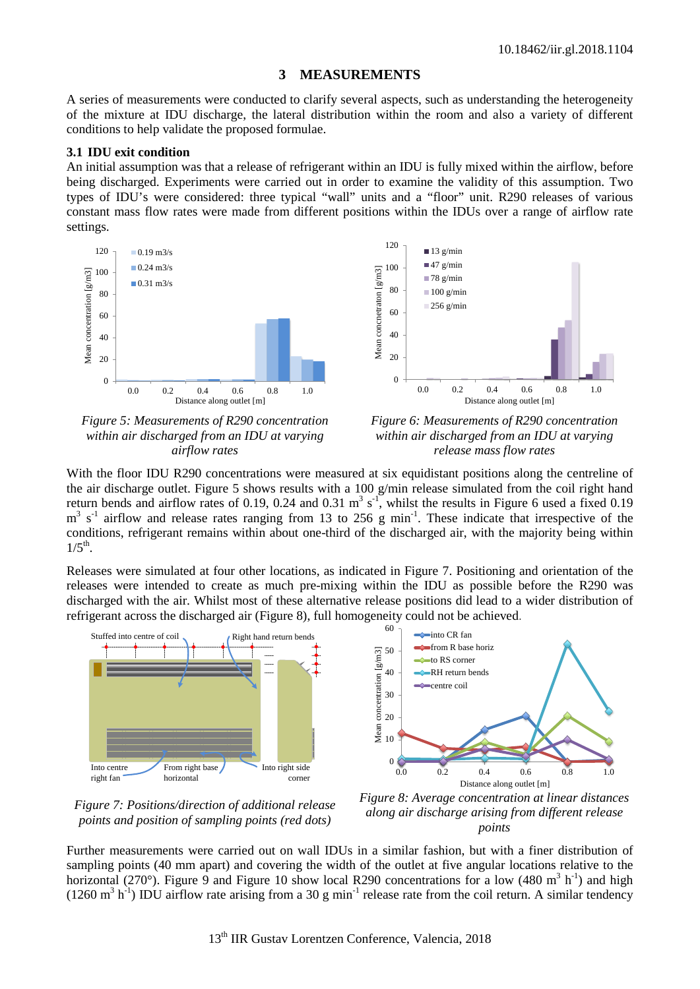# **3 MEASUREMENTS**

A series of measurements were conducted to clarify several aspects, such as understanding the heterogeneity of the mixture at IDU discharge, the lateral distribution within the room and also a variety of different conditions to help validate the proposed formulae.

### <span id="page-5-0"></span>**3.1 IDU exit condition**

An initial assumption was that a release of refrigerant within an IDU is fully mixed within the airflow, before being discharged. Experiments were carried out in order to examine the validity of this assumption. Two types of IDU's were considered: three typical "wall" units and a "floor" unit. R290 releases of various constant mass flow rates were made from different positions within the IDUs over a range of airflow rate settings.



<span id="page-5-1"></span>*Figure 5: Measurements of R290 concentration within air discharged from an IDU at varying airflow rates*

<span id="page-5-2"></span>*Figure 6: Measurements of R290 concentration within air discharged from an IDU at varying release mass flow rates*

With the floor IDU R290 concentrations were measured at six equidistant positions along the centreline of the air discharge outlet. [Figure 5](#page-5-1) shows results with a 100 g/min release simulated from the coil right hand return bends and airflow rates of 0.19, 0.24 and 0.31  $m^3 s^{-1}$ , whilst the results in [Figure 6](#page-5-2) used a fixed 0.19  $m<sup>3</sup>$  s<sup>-1</sup> airflow and release rates ranging from 13 to 256 g min<sup>-1</sup>. These indicate that irrespective of the conditions, refrigerant remains within about one-third of the discharged air, with the majority being within  $1/5^{th}$ .

Releases were simulated at four other locations, as indicated in [Figure 7.](#page-5-3) Positioning and orientation of the releases were intended to create as much pre-mixing within the IDU as possible before the R290 was discharged with the air. Whilst most of these alternative release positions did lead to a wider distribution of refrigerant across the discharged air [\(Figure 8\)](#page-5-4), full homogeneity could not be achieved.



<span id="page-5-3"></span>*Figure 7: Positions/direction of additional release points and position of sampling points (red dots)*

<span id="page-5-4"></span>*Figure 8: Average concentration at linear distances along air discharge arising from different release points*

Further measurements were carried out on wall IDUs in a similar fashion, but with a finer distribution of sampling points (40 mm apart) and covering the width of the outlet at five angular locations relative to the horizontal (270°). [Figure 9](#page-6-0) and [Figure 10](#page-6-1) show local R290 concentrations for a low (480 m<sup>3</sup> h<sup>-1</sup>) and high  $(1260 \text{ m}^3 \text{ h}^{-1})$  IDU airflow rate arising from a 30 g min<sup>-1</sup> release rate from the coil return. A similar tendency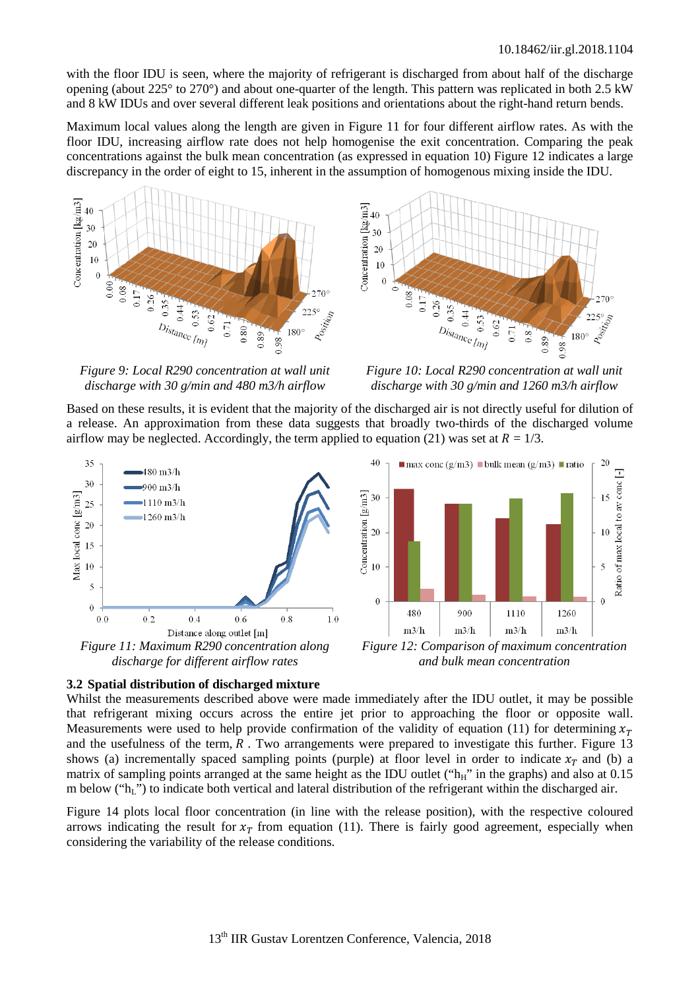with the floor IDU is seen, where the majority of refrigerant is discharged from about half of the discharge opening (about 225° to 270°) and about one-quarter of the length. This pattern was replicated in both 2.5 kW and 8 kW IDUs and over several different leak positions and orientations about the right-hand return bends.

Maximum local values along the length are given in [Figure 11](#page-6-2) for four different airflow rates. As with the floor IDU, increasing airflow rate does not help homogenise the exit concentration. Comparing the peak concentrations against the bulk mean concentration (as expressed in equation [10\)](#page-2-0) [Figure 12](#page-6-3) indicates a large discrepancy in the order of eight to 15, inherent in the assumption of homogenous mixing inside the IDU.





<span id="page-6-0"></span>*Figure 9: Local R290 concentration at wall unit discharge with 30 g/min and 480 m3/h airflow*

<span id="page-6-3"></span><span id="page-6-1"></span>*Figure 10: Local R290 concentration at wall unit discharge with 30 g/min and 1260 m3/h airflow*

Based on these results, it is evident that the majority of the discharged air is not directly useful for dilution of a release. An approximation from these data suggests that broadly two-thirds of the discharged volume airflow may be neglected. Accordingly, the term applied to equation [\(21\)](#page-4-3) was set at  $R = 1/3$ .



# <span id="page-6-2"></span>**3.2 Spatial distribution of discharged mixture**

Whilst the measurements described above were made immediately after the IDU outlet, it may be possible that refrigerant mixing occurs across the entire jet prior to approaching the floor or opposite wall. Measurements were used to help provide confirmation of the validity of equation [\(11\)](#page-2-5) for determining  $x_T$ and the usefulness of the term,  $R$ . Two arrangements were prepared to investigate this further. [Figure 13](#page-7-0) shows (a) incrementally spaced sampling points (purple) at floor level in order to indicate  $x_T$  and (b) a matrix of sampling points arranged at the same height as the IDU outlet (" $h_H$ " in the graphs) and also at 0.15 m below ("hL") to indicate both vertical and lateral distribution of the refrigerant within the discharged air.

[Figure 14](#page-7-1) plots local floor concentration (in line with the release position), with the respective coloured arrows indicating the result for  $x_T$  from equation [\(11\)](#page-2-5). There is fairly good agreement, especially when considering the variability of the release conditions.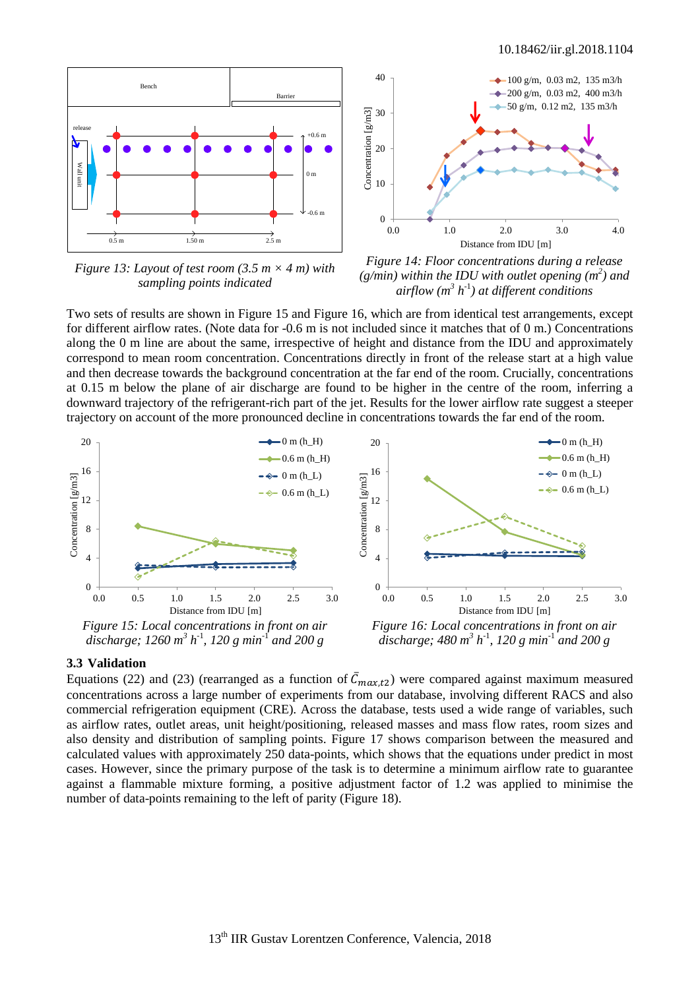

<span id="page-7-0"></span>*Figure 13: Layout of test room (3.5 m × 4 m) with sampling points indicated*



<span id="page-7-1"></span>*Figure 14: Floor concentrations during a release*  ( $g/min$ ) within the IDU with outlet opening ( $m<sup>2</sup>$ ) and *airflow (m3 h*-1 *) at different conditions*

Two sets of results are shown in [Figure 15](#page-7-2) and [Figure 16,](#page-7-3) which are from identical test arrangements, except for different airflow rates. (Note data for -0.6 m is not included since it matches that of 0 m.) Concentrations along the 0 m line are about the same, irrespective of height and distance from the IDU and approximately correspond to mean room concentration. Concentrations directly in front of the release start at a high value and then decrease towards the background concentration at the far end of the room. Crucially, concentrations at 0.15 m below the plane of air discharge are found to be higher in the centre of the room, inferring a downward trajectory of the refrigerant-rich part of the jet. Results for the lower airflow rate suggest a steeper trajectory on account of the more pronounced decline in concentrations towards the far end of the room.



# <span id="page-7-3"></span><span id="page-7-2"></span>**3.3 Validation**

Equations [\(22\)](#page-4-4) and [\(23\)](#page-4-5) (rearranged as a function of  $C_{max,t2}$ ) were compared against maximum measured concentrations across a large number of experiments from our database, involving different RACS and also commercial refrigeration equipment (CRE). Across the database, tests used a wide range of variables, such as airflow rates, outlet areas, unit height/positioning, released masses and mass flow rates, room sizes and also density and distribution of sampling points. [Figure 17](#page-8-0) shows comparison between the measured and calculated values with approximately 250 data-points, which shows that the equations under predict in most cases. However, since the primary purpose of the task is to determine a minimum airflow rate to guarantee against a flammable mixture forming, a positive adjustment factor of 1.2 was applied to minimise the number of data-points remaining to the left of parity [\(Figure 18\)](#page-8-1).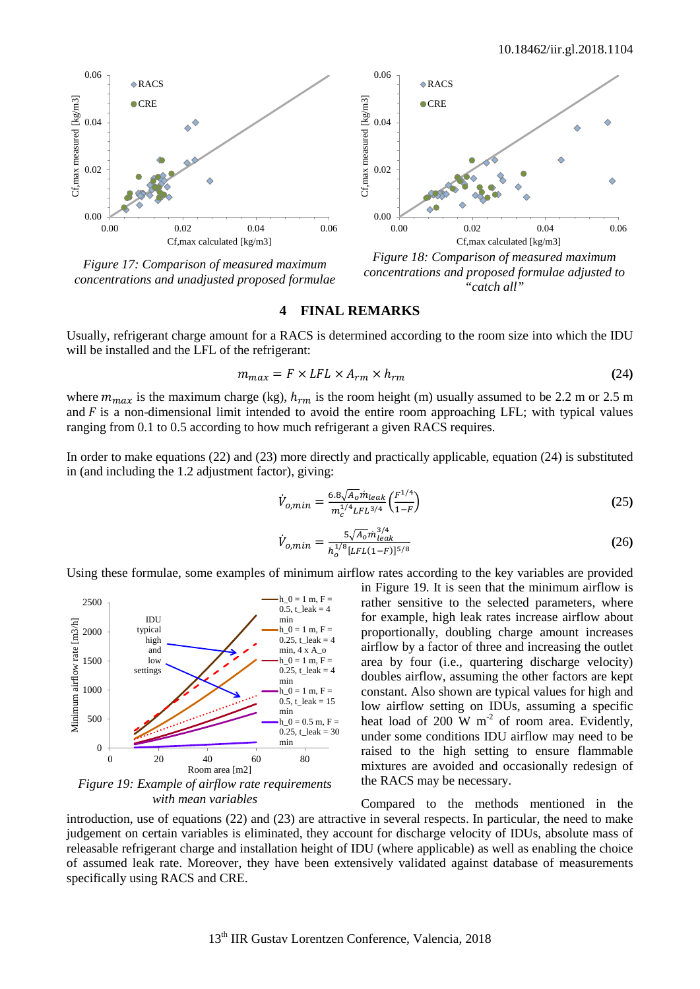<span id="page-8-2"></span>è



<span id="page-8-0"></span>*Figure 17: Comparison of measured maximum concentrations and unadjusted proposed formulae*



<span id="page-8-1"></span>*Figure 18: Comparison of measured maximum concentrations and proposed formulae adjusted to "catch all"*

### **4 FINAL REMARKS**

0.04

0.06

 $\Diamond$ RACS  $CRE$ 

Usually, refrigerant charge amount for a RACS is determined according to the room size into which the IDU will be installed and the LFL of the refrigerant:

$$
m_{max} = F \times LFL \times A_{rm} \times h_{rm}
$$
 (24)

where  $m_{max}$  is the maximum charge (kg),  $h_{rm}$  is the room height (m) usually assumed to be 2.2 m or 2.5 m and  $\overline{F}$  is a non-dimensional limit intended to avoid the entire room approaching LFL; with typical values ranging from 0.1 to 0.5 according to how much refrigerant a given RACS requires.

In order to make equations [\(22\)](#page-4-4) and [\(23\)](#page-4-5) more directly and practically applicable, equation [\(24\)](#page-8-2) is substituted in (and including the 1.2 adjustment factor), giving:

$$
\dot{V}_{o,min} = \frac{6.8\sqrt{A_o} \dot{m}_{leak}}{m_c^{1/4} LFL^{3/4}} \left(\frac{F^{1/4}}{1-F}\right)
$$
\n(25)

$$
\dot{V}_{o,min} = \frac{5\sqrt{A_o}m_{leak}^{3/4}}{h_o^{1/8}[LE(L-T)]^{5/8}}
$$
(26)

Using these formulae, some examples of minimum airflow rates according to the key variables are provided



<span id="page-8-3"></span>*Figure 19: Example of airflow rate requirements with mean variables*

in [Figure 19.](#page-8-3) It is seen that the minimum airflow is rather sensitive to the selected parameters, where for example, high leak rates increase airflow about proportionally, doubling charge amount increases airflow by a factor of three and increasing the outlet area by four (i.e., quartering discharge velocity) doubles airflow, assuming the other factors are kept constant. Also shown are typical values for high and low airflow setting on IDUs, assuming a specific heat load of  $200 \text{ W m}^2$  of room area. Evidently, under some conditions IDU airflow may need to be raised to the high setting to ensure flammable mixtures are avoided and occasionally redesign of the RACS may be necessary.

Compared to the methods mentioned in the introduction, use of equations [\(22\)](#page-4-4) and [\(23\)](#page-4-5) are attractive in several respects. In particular, the need to make judgement on certain variables is eliminated, they account for discharge velocity of IDUs, absolute mass of releasable refrigerant charge and installation height of IDU (where applicable) as well as enabling the choice of assumed leak rate. Moreover, they have been extensively validated against database of measurements specifically using RACS and CRE.